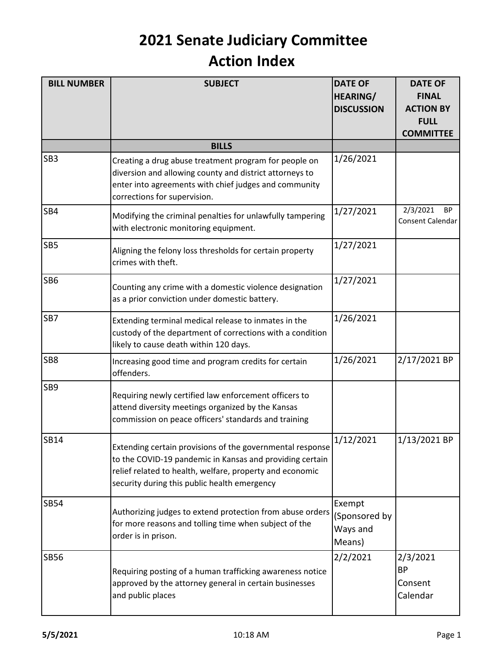| <b>BILL NUMBER</b> | <b>SUBJECT</b>                                                                                                                                                                                                                    | <b>DATE OF</b><br><b>HEARING/</b><br><b>DISCUSSION</b> | <b>DATE OF</b><br><b>FINAL</b><br><b>ACTION BY</b><br><b>FULL</b><br><b>COMMITTEE</b> |
|--------------------|-----------------------------------------------------------------------------------------------------------------------------------------------------------------------------------------------------------------------------------|--------------------------------------------------------|---------------------------------------------------------------------------------------|
|                    | <b>BILLS</b>                                                                                                                                                                                                                      |                                                        |                                                                                       |
| SB <sub>3</sub>    | Creating a drug abuse treatment program for people on<br>diversion and allowing county and district attorneys to<br>enter into agreements with chief judges and community<br>corrections for supervision.                         | 1/26/2021                                              |                                                                                       |
| SB4                | Modifying the criminal penalties for unlawfully tampering<br>with electronic monitoring equipment.                                                                                                                                | 1/27/2021                                              | 2/3/2021<br><b>BP</b><br>Consent Calendar                                             |
| SB <sub>5</sub>    | Aligning the felony loss thresholds for certain property<br>crimes with theft.                                                                                                                                                    | 1/27/2021                                              |                                                                                       |
| SB <sub>6</sub>    | Counting any crime with a domestic violence designation<br>as a prior conviction under domestic battery.                                                                                                                          | 1/27/2021                                              |                                                                                       |
| SB7                | Extending terminal medical release to inmates in the<br>custody of the department of corrections with a condition<br>likely to cause death within 120 days.                                                                       | 1/26/2021                                              |                                                                                       |
| SB <sub>8</sub>    | Increasing good time and program credits for certain<br>offenders.                                                                                                                                                                | 1/26/2021                                              | 2/17/2021 BP                                                                          |
| SB9                | Requiring newly certified law enforcement officers to<br>attend diversity meetings organized by the Kansas<br>commission on peace officers' standards and training                                                                |                                                        |                                                                                       |
| <b>SB14</b>        | Extending certain provisions of the governmental response<br>to the COVID-19 pandemic in Kansas and providing certain<br>relief related to health, welfare, property and economic<br>security during this public health emergency | 1/12/2021                                              | 1/13/2021 BP                                                                          |
| <b>SB54</b>        | Authorizing judges to extend protection from abuse orders<br>for more reasons and tolling time when subject of the<br>order is in prison.                                                                                         | Exempt<br>(Sponsored by<br>Ways and<br>Means)          |                                                                                       |
| <b>SB56</b>        | Requiring posting of a human trafficking awareness notice<br>approved by the attorney general in certain businesses<br>and public places                                                                                          | 2/2/2021                                               | 2/3/2021<br><b>BP</b><br>Consent<br>Calendar                                          |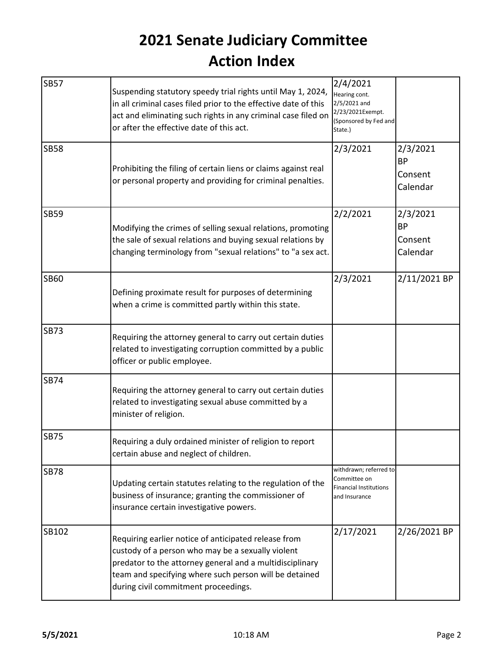| <b>SB57</b> | Suspending statutory speedy trial rights until May 1, 2024,<br>in all criminal cases filed prior to the effective date of this<br>act and eliminating such rights in any criminal case filed on<br>or after the effective date of this act.                             | 2/4/2021<br>Hearing cont.<br>2/5/2021 and<br>2/23/2021Exempt.<br>(Sponsored by Fed and<br>State.) |                                              |
|-------------|-------------------------------------------------------------------------------------------------------------------------------------------------------------------------------------------------------------------------------------------------------------------------|---------------------------------------------------------------------------------------------------|----------------------------------------------|
| <b>SB58</b> | Prohibiting the filing of certain liens or claims against real<br>or personal property and providing for criminal penalties.                                                                                                                                            | 2/3/2021                                                                                          | 2/3/2021<br><b>BP</b><br>Consent<br>Calendar |
| <b>SB59</b> | Modifying the crimes of selling sexual relations, promoting<br>the sale of sexual relations and buying sexual relations by<br>changing terminology from "sexual relations" to "a sex act.                                                                               | 2/2/2021                                                                                          | 2/3/2021<br><b>BP</b><br>Consent<br>Calendar |
| <b>SB60</b> | Defining proximate result for purposes of determining<br>when a crime is committed partly within this state.                                                                                                                                                            | 2/3/2021                                                                                          | 2/11/2021 BP                                 |
| <b>SB73</b> | Requiring the attorney general to carry out certain duties<br>related to investigating corruption committed by a public<br>officer or public employee.                                                                                                                  |                                                                                                   |                                              |
| <b>SB74</b> | Requiring the attorney general to carry out certain duties<br>related to investigating sexual abuse committed by a<br>minister of religion.                                                                                                                             |                                                                                                   |                                              |
| <b>SB75</b> | Requiring a duly ordained minister of religion to report<br>certain abuse and neglect of children.                                                                                                                                                                      |                                                                                                   |                                              |
| <b>SB78</b> | Updating certain statutes relating to the regulation of the<br>business of insurance; granting the commissioner of<br>insurance certain investigative powers.                                                                                                           | withdrawn; referred to<br>Committee on<br><b>Financial Institutions</b><br>and Insurance          |                                              |
| SB102       | Requiring earlier notice of anticipated release from<br>custody of a person who may be a sexually violent<br>predator to the attorney general and a multidisciplinary<br>team and specifying where such person will be detained<br>during civil commitment proceedings. | 2/17/2021                                                                                         | 2/26/2021 BP                                 |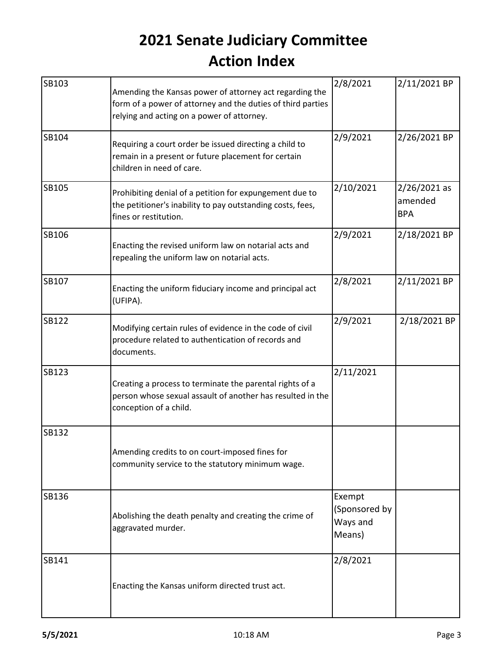| SB103        | Amending the Kansas power of attorney act regarding the<br>form of a power of attorney and the duties of third parties<br>relying and acting on a power of attorney. | 2/8/2021                                      | 2/11/2021 BP                            |
|--------------|----------------------------------------------------------------------------------------------------------------------------------------------------------------------|-----------------------------------------------|-----------------------------------------|
| SB104        | Requiring a court order be issued directing a child to<br>remain in a present or future placement for certain<br>children in need of care.                           | 2/9/2021                                      | 2/26/2021 BP                            |
| SB105        | Prohibiting denial of a petition for expungement due to<br>the petitioner's inability to pay outstanding costs, fees,<br>fines or restitution.                       | 2/10/2021                                     | $2/26/2021$ as<br>amended<br><b>BPA</b> |
| <b>SB106</b> | Enacting the revised uniform law on notarial acts and<br>repealing the uniform law on notarial acts.                                                                 | 2/9/2021                                      | 2/18/2021 BP                            |
| SB107        | Enacting the uniform fiduciary income and principal act<br>(UFIPA).                                                                                                  | 2/8/2021                                      | 2/11/2021 BP                            |
| <b>SB122</b> | Modifying certain rules of evidence in the code of civil<br>procedure related to authentication of records and<br>documents.                                         | 2/9/2021                                      | 2/18/2021 BP                            |
| SB123        | Creating a process to terminate the parental rights of a<br>person whose sexual assault of another has resulted in the<br>conception of a child.                     | 2/11/2021                                     |                                         |
| <b>SB132</b> | Amending credits to on court-imposed fines for<br>community service to the statutory minimum wage.                                                                   |                                               |                                         |
| <b>SB136</b> | Abolishing the death penalty and creating the crime of<br>aggravated murder.                                                                                         | Exempt<br>(Sponsored by<br>Ways and<br>Means) |                                         |
| SB141        | Enacting the Kansas uniform directed trust act.                                                                                                                      | 2/8/2021                                      |                                         |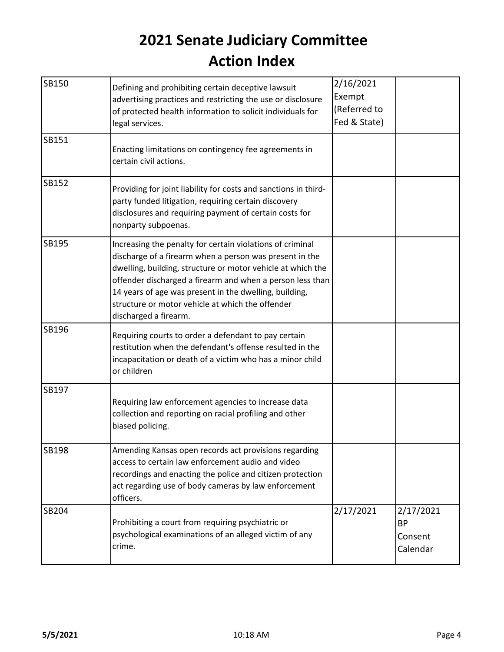| SB150 | Defining and prohibiting certain deceptive lawsuit<br>advertising practices and restricting the use or disclosure<br>of protected health information to solicit individuals for                                                                                                                                                                                                         | 2/16/2021<br>Exempt<br>(Referred to |                                               |
|-------|-----------------------------------------------------------------------------------------------------------------------------------------------------------------------------------------------------------------------------------------------------------------------------------------------------------------------------------------------------------------------------------------|-------------------------------------|-----------------------------------------------|
| SB151 | legal services.<br>Enacting limitations on contingency fee agreements in<br>certain civil actions.                                                                                                                                                                                                                                                                                      | Fed & State)                        |                                               |
| SB152 | Providing for joint liability for costs and sanctions in third-<br>party funded litigation, requiring certain discovery<br>disclosures and requiring payment of certain costs for<br>nonparty subpoenas.                                                                                                                                                                                |                                     |                                               |
| SB195 | Increasing the penalty for certain violations of criminal<br>discharge of a firearm when a person was present in the<br>dwelling, building, structure or motor vehicle at which the<br>offender discharged a firearm and when a person less than<br>14 years of age was present in the dwelling, building,<br>structure or motor vehicle at which the offender<br>discharged a firearm. |                                     |                                               |
| SB196 | Requiring courts to order a defendant to pay certain<br>restitution when the defendant's offense resulted in the<br>incapacitation or death of a victim who has a minor child<br>or children                                                                                                                                                                                            |                                     |                                               |
| SB197 | Requiring law enforcement agencies to increase data<br>collection and reporting on racial profiling and other<br>biased policing.                                                                                                                                                                                                                                                       |                                     |                                               |
| SB198 | Amending Kansas open records act provisions regarding<br>access to certain law enforcement audio and video<br>recordings and enacting the police and citizen protection<br>act regarding use of body cameras by law enforcement<br>officers.                                                                                                                                            |                                     |                                               |
| SB204 | Prohibiting a court from requiring psychiatric or<br>psychological examinations of an alleged victim of any<br>crime.                                                                                                                                                                                                                                                                   | 2/17/2021                           | 2/17/2021<br><b>BP</b><br>Consent<br>Calendar |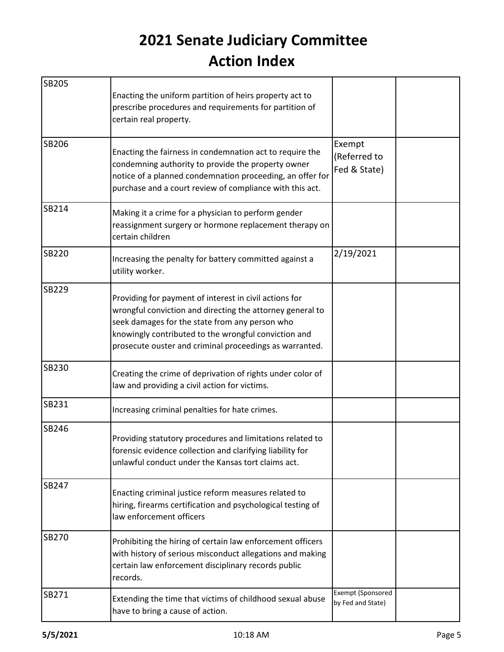| <b>SB205</b> | Enacting the uniform partition of heirs property act to<br>prescribe procedures and requirements for partition of<br>certain real property.                                                                                                                                              |                                        |  |
|--------------|------------------------------------------------------------------------------------------------------------------------------------------------------------------------------------------------------------------------------------------------------------------------------------------|----------------------------------------|--|
| <b>SB206</b> | Enacting the fairness in condemnation act to require the<br>condemning authority to provide the property owner<br>notice of a planned condemnation proceeding, an offer for<br>purchase and a court review of compliance with this act.                                                  | Exempt<br>(Referred to<br>Fed & State) |  |
| SB214        | Making it a crime for a physician to perform gender<br>reassignment surgery or hormone replacement therapy on<br>certain children                                                                                                                                                        |                                        |  |
| <b>SB220</b> | Increasing the penalty for battery committed against a<br>utility worker.                                                                                                                                                                                                                | 2/19/2021                              |  |
| <b>SB229</b> | Providing for payment of interest in civil actions for<br>wrongful conviction and directing the attorney general to<br>seek damages for the state from any person who<br>knowingly contributed to the wrongful conviction and<br>prosecute ouster and criminal proceedings as warranted. |                                        |  |
| <b>SB230</b> | Creating the crime of deprivation of rights under color of<br>law and providing a civil action for victims.                                                                                                                                                                              |                                        |  |
| SB231        | Increasing criminal penalties for hate crimes.                                                                                                                                                                                                                                           |                                        |  |
| SB246        | Providing statutory procedures and limitations related to<br>forensic evidence collection and clarifying liability for<br>unlawful conduct under the Kansas tort claims act.                                                                                                             |                                        |  |
| <b>SB247</b> | Enacting criminal justice reform measures related to<br>hiring, firearms certification and psychological testing of<br>law enforcement officers                                                                                                                                          |                                        |  |
| <b>SB270</b> | Prohibiting the hiring of certain law enforcement officers<br>with history of serious misconduct allegations and making<br>certain law enforcement disciplinary records public<br>records.                                                                                               |                                        |  |
| SB271        | Extending the time that victims of childhood sexual abuse<br>have to bring a cause of action.                                                                                                                                                                                            | Exempt (Sponsored<br>by Fed and State) |  |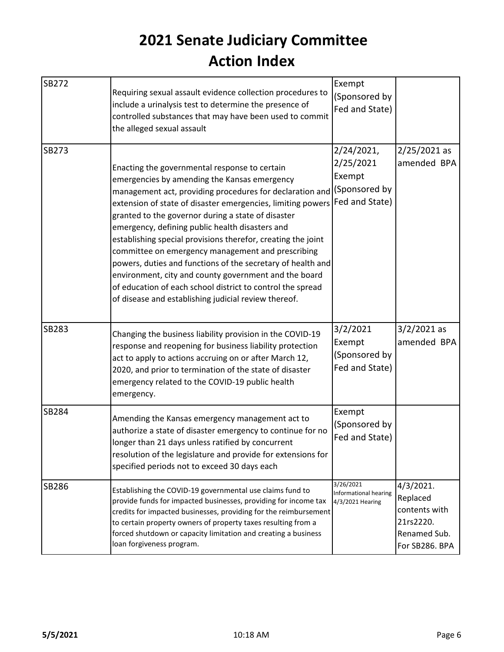| SB272        | Requiring sexual assault evidence collection procedures to<br>include a urinalysis test to determine the presence of<br>controlled substances that may have been used to commit<br>the alleged sexual assault                                                                                                                                                                                                                                                                                                                                                                                                                                                                                                      | Exempt<br>(Sponsored by<br>Fed and State)              |                                                                                          |
|--------------|--------------------------------------------------------------------------------------------------------------------------------------------------------------------------------------------------------------------------------------------------------------------------------------------------------------------------------------------------------------------------------------------------------------------------------------------------------------------------------------------------------------------------------------------------------------------------------------------------------------------------------------------------------------------------------------------------------------------|--------------------------------------------------------|------------------------------------------------------------------------------------------|
| <b>SB273</b> | Enacting the governmental response to certain<br>emergencies by amending the Kansas emergency<br>management act, providing procedures for declaration and (Sponsored by<br>extension of state of disaster emergencies, limiting powers<br>granted to the governor during a state of disaster<br>emergency, defining public health disasters and<br>establishing special provisions therefor, creating the joint<br>committee on emergency management and prescribing<br>powers, duties and functions of the secretary of health and<br>environment, city and county government and the board<br>of education of each school district to control the spread<br>of disease and establishing judicial review thereof. | 2/24/2021,<br>2/25/2021<br>Exempt<br>Fed and State)    | $2/25/2021$ as<br>amended BPA                                                            |
| SB283        | Changing the business liability provision in the COVID-19<br>response and reopening for business liability protection<br>act to apply to actions accruing on or after March 12,<br>2020, and prior to termination of the state of disaster<br>emergency related to the COVID-19 public health<br>emergency.                                                                                                                                                                                                                                                                                                                                                                                                        | 3/2/2021<br>Exempt<br>(Sponsored by<br>Fed and State)  | $3/2/2021$ as<br>amended BPA                                                             |
| <b>SB284</b> | Amending the Kansas emergency management act to<br>authorize a state of disaster emergency to continue for no<br>longer than 21 days unless ratified by concurrent<br>resolution of the legislature and provide for extensions for<br>specified periods not to exceed 30 days each                                                                                                                                                                                                                                                                                                                                                                                                                                 | Exempt<br>(Sponsored by<br>Fed and State)              |                                                                                          |
| <b>SB286</b> | Establishing the COVID-19 governmental use claims fund to<br>provide funds for impacted businesses, providing for income tax<br>credits for impacted businesses, providing for the reimbursement<br>to certain property owners of property taxes resulting from a<br>forced shutdown or capacity limitation and creating a business<br>loan forgiveness program.                                                                                                                                                                                                                                                                                                                                                   | 3/26/2021<br>Informational hearing<br>4/3/2021 Hearing | $4/3/2021$ .<br>Replaced<br>contents with<br>21rs2220.<br>Renamed Sub.<br>For SB286. BPA |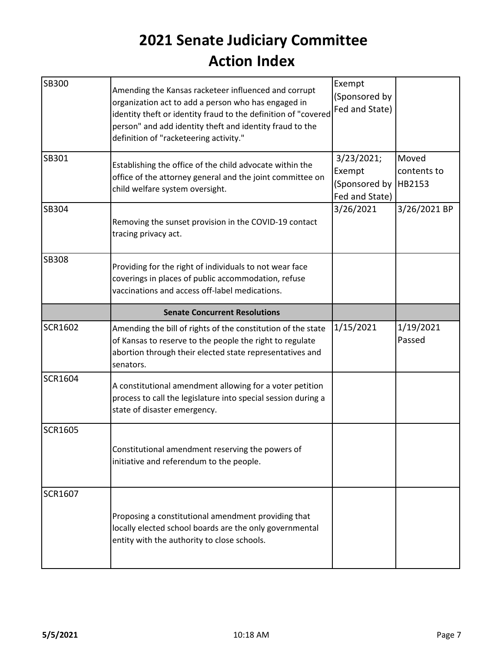| <b>SB300</b>   | Amending the Kansas racketeer influenced and corrupt<br>organization act to add a person who has engaged in<br>identity theft or identity fraud to the definition of "covered<br>person" and add identity theft and identity fraud to the<br>definition of "racketeering activity." | Exempt<br>(Sponsored by<br>Fed and State)               |                                |
|----------------|-------------------------------------------------------------------------------------------------------------------------------------------------------------------------------------------------------------------------------------------------------------------------------------|---------------------------------------------------------|--------------------------------|
| SB301          | Establishing the office of the child advocate within the<br>office of the attorney general and the joint committee on<br>child welfare system oversight.                                                                                                                            | 3/23/2021;<br>Exempt<br>(Sponsored by<br>Fed and State) | Moved<br>contents to<br>HB2153 |
| <b>SB304</b>   | Removing the sunset provision in the COVID-19 contact<br>tracing privacy act.                                                                                                                                                                                                       | 3/26/2021                                               | 3/26/2021 BP                   |
| <b>SB308</b>   | Providing for the right of individuals to not wear face<br>coverings in places of public accommodation, refuse<br>vaccinations and access off-label medications.                                                                                                                    |                                                         |                                |
|                | <b>Senate Concurrent Resolutions</b>                                                                                                                                                                                                                                                |                                                         |                                |
| <b>SCR1602</b> | Amending the bill of rights of the constitution of the state<br>of Kansas to reserve to the people the right to regulate<br>abortion through their elected state representatives and                                                                                                | 1/15/2021                                               | 1/19/2021<br>Passed            |
|                | senators.                                                                                                                                                                                                                                                                           |                                                         |                                |
| <b>SCR1604</b> | A constitutional amendment allowing for a voter petition<br>process to call the legislature into special session during a<br>state of disaster emergency.                                                                                                                           |                                                         |                                |
| <b>SCR1605</b> | Constitutional amendment reserving the powers of<br>initiative and referendum to the people.                                                                                                                                                                                        |                                                         |                                |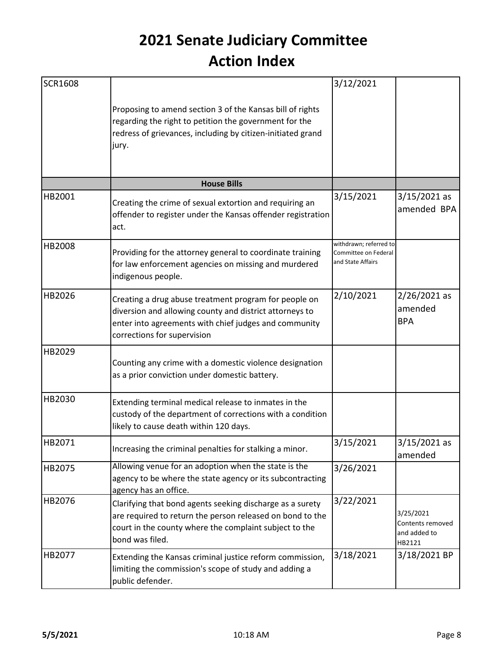| <b>SCR1608</b> |                                                                                                                                                                                                          | 3/12/2021                                                           |                                                         |
|----------------|----------------------------------------------------------------------------------------------------------------------------------------------------------------------------------------------------------|---------------------------------------------------------------------|---------------------------------------------------------|
|                | Proposing to amend section 3 of the Kansas bill of rights<br>regarding the right to petition the government for the<br>redress of grievances, including by citizen-initiated grand<br>jury.              |                                                                     |                                                         |
|                | <b>House Bills</b>                                                                                                                                                                                       |                                                                     |                                                         |
| HB2001         | Creating the crime of sexual extortion and requiring an<br>offender to register under the Kansas offender registration<br>act.                                                                           | 3/15/2021                                                           | $3/15/2021$ as<br>amended BPA                           |
| HB2008         | Providing for the attorney general to coordinate training<br>for law enforcement agencies on missing and murdered<br>indigenous people.                                                                  | withdrawn; referred to<br>Committee on Federal<br>and State Affairs |                                                         |
| HB2026         | Creating a drug abuse treatment program for people on<br>diversion and allowing county and district attorneys to<br>enter into agreements with chief judges and community<br>corrections for supervision | 2/10/2021                                                           | $2/26/2021$ as<br>amended<br><b>BPA</b>                 |
| HB2029         | Counting any crime with a domestic violence designation<br>as a prior conviction under domestic battery.                                                                                                 |                                                                     |                                                         |
| HB2030         | Extending terminal medical release to inmates in the<br>custody of the department of corrections with a condition<br>likely to cause death within 120 days.                                              |                                                                     |                                                         |
| HB2071         | Increasing the criminal penalties for stalking a minor.                                                                                                                                                  | 3/15/2021                                                           | 3/15/2021 as<br>amended                                 |
| HB2075         | Allowing venue for an adoption when the state is the<br>agency to be where the state agency or its subcontracting<br>agency has an office.                                                               | 3/26/2021                                                           |                                                         |
| HB2076         | Clarifying that bond agents seeking discharge as a surety<br>are required to return the person released on bond to the<br>court in the county where the complaint subject to the<br>bond was filed.      | 3/22/2021                                                           | 3/25/2021<br>Contents removed<br>and added to<br>HB2121 |
| HB2077         | Extending the Kansas criminal justice reform commission,<br>limiting the commission's scope of study and adding a<br>public defender.                                                                    | 3/18/2021                                                           | 3/18/2021 BP                                            |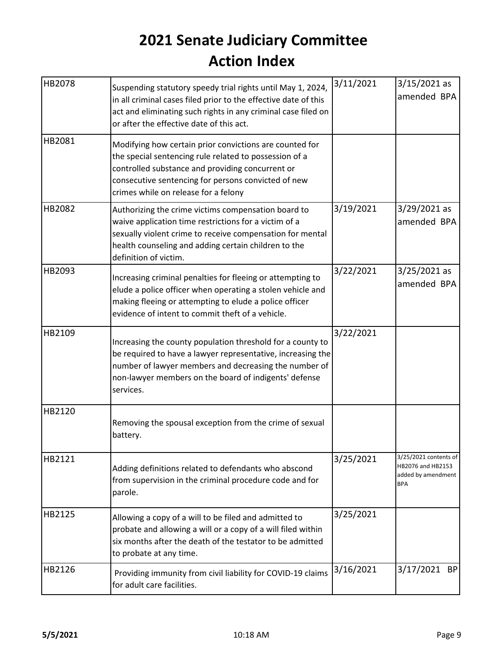| HB2078 | Suspending statutory speedy trial rights until May 1, 2024,                                                                                                                                                                                                          | 3/11/2021 | $3/15/2021$ as                                                                 |
|--------|----------------------------------------------------------------------------------------------------------------------------------------------------------------------------------------------------------------------------------------------------------------------|-----------|--------------------------------------------------------------------------------|
|        | in all criminal cases filed prior to the effective date of this<br>act and eliminating such rights in any criminal case filed on<br>or after the effective date of this act.                                                                                         |           | amended BPA                                                                    |
| HB2081 | Modifying how certain prior convictions are counted for<br>the special sentencing rule related to possession of a<br>controlled substance and providing concurrent or<br>consecutive sentencing for persons convicted of new<br>crimes while on release for a felony |           |                                                                                |
| HB2082 | Authorizing the crime victims compensation board to<br>waive application time restrictions for a victim of a<br>sexually violent crime to receive compensation for mental<br>health counseling and adding certain children to the<br>definition of victim.           | 3/19/2021 | $3/29/2021$ as<br>amended BPA                                                  |
| HB2093 | Increasing criminal penalties for fleeing or attempting to<br>elude a police officer when operating a stolen vehicle and<br>making fleeing or attempting to elude a police officer<br>evidence of intent to commit theft of a vehicle.                               | 3/22/2021 | $3/25/2021$ as<br>amended BPA                                                  |
| HB2109 | Increasing the county population threshold for a county to<br>be required to have a lawyer representative, increasing the<br>number of lawyer members and decreasing the number of<br>non-lawyer members on the board of indigents' defense<br>services.             | 3/22/2021 |                                                                                |
| HB2120 | Removing the spousal exception from the crime of sexual<br>battery.                                                                                                                                                                                                  |           |                                                                                |
| HB2121 | Adding definitions related to defendants who abscond<br>from supervision in the criminal procedure code and for<br>parole.                                                                                                                                           | 3/25/2021 | 3/25/2021 contents of<br>HB2076 and HB2153<br>added by amendment<br><b>BPA</b> |
| HB2125 | Allowing a copy of a will to be filed and admitted to<br>probate and allowing a will or a copy of a will filed within<br>six months after the death of the testator to be admitted<br>to probate at any time.                                                        | 3/25/2021 |                                                                                |
| HB2126 | Providing immunity from civil liability for COVID-19 claims<br>for adult care facilities.                                                                                                                                                                            | 3/16/2021 | 3/17/2021 BP                                                                   |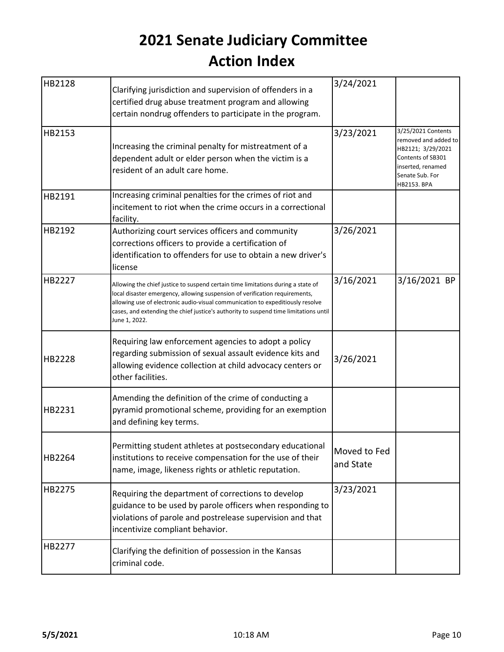| HB2128 | Clarifying jurisdiction and supervision of offenders in a<br>certified drug abuse treatment program and allowing<br>certain nondrug offenders to participate in the program.                                                                                                                                                                               | 3/24/2021                 |                                                                                                                                             |
|--------|------------------------------------------------------------------------------------------------------------------------------------------------------------------------------------------------------------------------------------------------------------------------------------------------------------------------------------------------------------|---------------------------|---------------------------------------------------------------------------------------------------------------------------------------------|
| HB2153 | Increasing the criminal penalty for mistreatment of a<br>dependent adult or elder person when the victim is a<br>resident of an adult care home.                                                                                                                                                                                                           | 3/23/2021                 | 3/25/2021 Contents<br>removed and added to<br>HB2121; 3/29/2021<br>Contents of SB301<br>inserted, renamed<br>Senate Sub. For<br>HB2153. BPA |
| HB2191 | Increasing criminal penalties for the crimes of riot and<br>incitement to riot when the crime occurs in a correctional<br>facility.                                                                                                                                                                                                                        |                           |                                                                                                                                             |
| HB2192 | Authorizing court services officers and community<br>corrections officers to provide a certification of<br>identification to offenders for use to obtain a new driver's<br>license                                                                                                                                                                         | 3/26/2021                 |                                                                                                                                             |
| HB2227 | Allowing the chief justice to suspend certain time limitations during a state of<br>local disaster emergency, allowing suspension of verification requirements,<br>allowing use of electronic audio-visual communication to expeditiously resolve<br>cases, and extending the chief justice's authority to suspend time limitations until<br>June 1, 2022. | 3/16/2021                 | 3/16/2021 BP                                                                                                                                |
| HB2228 | Requiring law enforcement agencies to adopt a policy<br>regarding submission of sexual assault evidence kits and<br>allowing evidence collection at child advocacy centers or<br>other facilities.                                                                                                                                                         | 3/26/2021                 |                                                                                                                                             |
| HB2231 | Amending the definition of the crime of conducting a<br>pyramid promotional scheme, providing for an exemption<br>and defining key terms.                                                                                                                                                                                                                  |                           |                                                                                                                                             |
| HB2264 | Permitting student athletes at postsecondary educational<br>institutions to receive compensation for the use of their<br>name, image, likeness rights or athletic reputation.                                                                                                                                                                              | Moved to Fed<br>and State |                                                                                                                                             |
| HB2275 | Requiring the department of corrections to develop<br>guidance to be used by parole officers when responding to<br>violations of parole and postrelease supervision and that<br>incentivize compliant behavior.                                                                                                                                            | 3/23/2021                 |                                                                                                                                             |
| HB2277 | Clarifying the definition of possession in the Kansas<br>criminal code.                                                                                                                                                                                                                                                                                    |                           |                                                                                                                                             |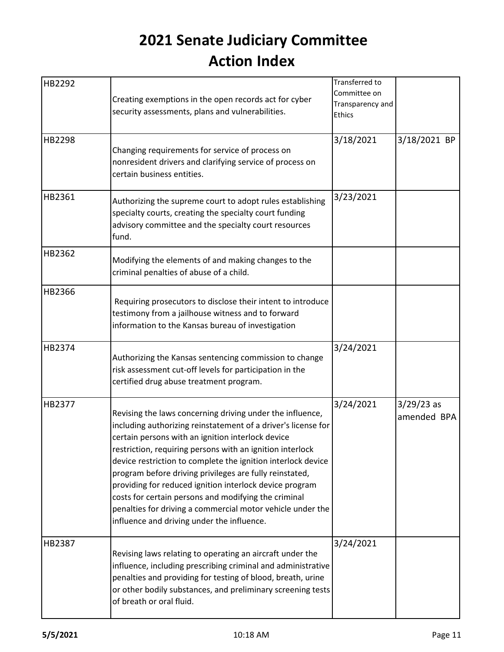| HB2292 | Creating exemptions in the open records act for cyber<br>security assessments, plans and vulnerabilities.                                                                                                                                                                                                                                                                                                                                                                                                                                                                                              | Transferred to<br>Committee on<br>Transparency and<br>Ethics |                             |  |
|--------|--------------------------------------------------------------------------------------------------------------------------------------------------------------------------------------------------------------------------------------------------------------------------------------------------------------------------------------------------------------------------------------------------------------------------------------------------------------------------------------------------------------------------------------------------------------------------------------------------------|--------------------------------------------------------------|-----------------------------|--|
| HB2298 | Changing requirements for service of process on<br>nonresident drivers and clarifying service of process on<br>certain business entities.                                                                                                                                                                                                                                                                                                                                                                                                                                                              | 3/18/2021                                                    | 3/18/2021 BP                |  |
| HB2361 | Authorizing the supreme court to adopt rules establishing<br>specialty courts, creating the specialty court funding<br>advisory committee and the specialty court resources<br>fund.                                                                                                                                                                                                                                                                                                                                                                                                                   | 3/23/2021                                                    |                             |  |
| HB2362 | Modifying the elements of and making changes to the<br>criminal penalties of abuse of a child.                                                                                                                                                                                                                                                                                                                                                                                                                                                                                                         |                                                              |                             |  |
| HB2366 | Requiring prosecutors to disclose their intent to introduce<br>testimony from a jailhouse witness and to forward<br>information to the Kansas bureau of investigation                                                                                                                                                                                                                                                                                                                                                                                                                                  |                                                              |                             |  |
| HB2374 | Authorizing the Kansas sentencing commission to change<br>risk assessment cut-off levels for participation in the<br>certified drug abuse treatment program.                                                                                                                                                                                                                                                                                                                                                                                                                                           | 3/24/2021                                                    |                             |  |
| HB2377 | Revising the laws concerning driving under the influence,<br>including authorizing reinstatement of a driver's license for<br>certain persons with an ignition interlock device<br>restriction, requiring persons with an ignition interlock<br>device restriction to complete the ignition interlock device<br>program before driving privileges are fully reinstated,<br>providing for reduced ignition interlock device program<br>costs for certain persons and modifying the criminal<br>penalties for driving a commercial motor vehicle under the<br>influence and driving under the influence. | 3/24/2021                                                    | $3/29/23$ as<br>amended BPA |  |
| HB2387 | Revising laws relating to operating an aircraft under the<br>influence, including prescribing criminal and administrative<br>penalties and providing for testing of blood, breath, urine<br>or other bodily substances, and preliminary screening tests<br>of breath or oral fluid.                                                                                                                                                                                                                                                                                                                    | 3/24/2021                                                    |                             |  |